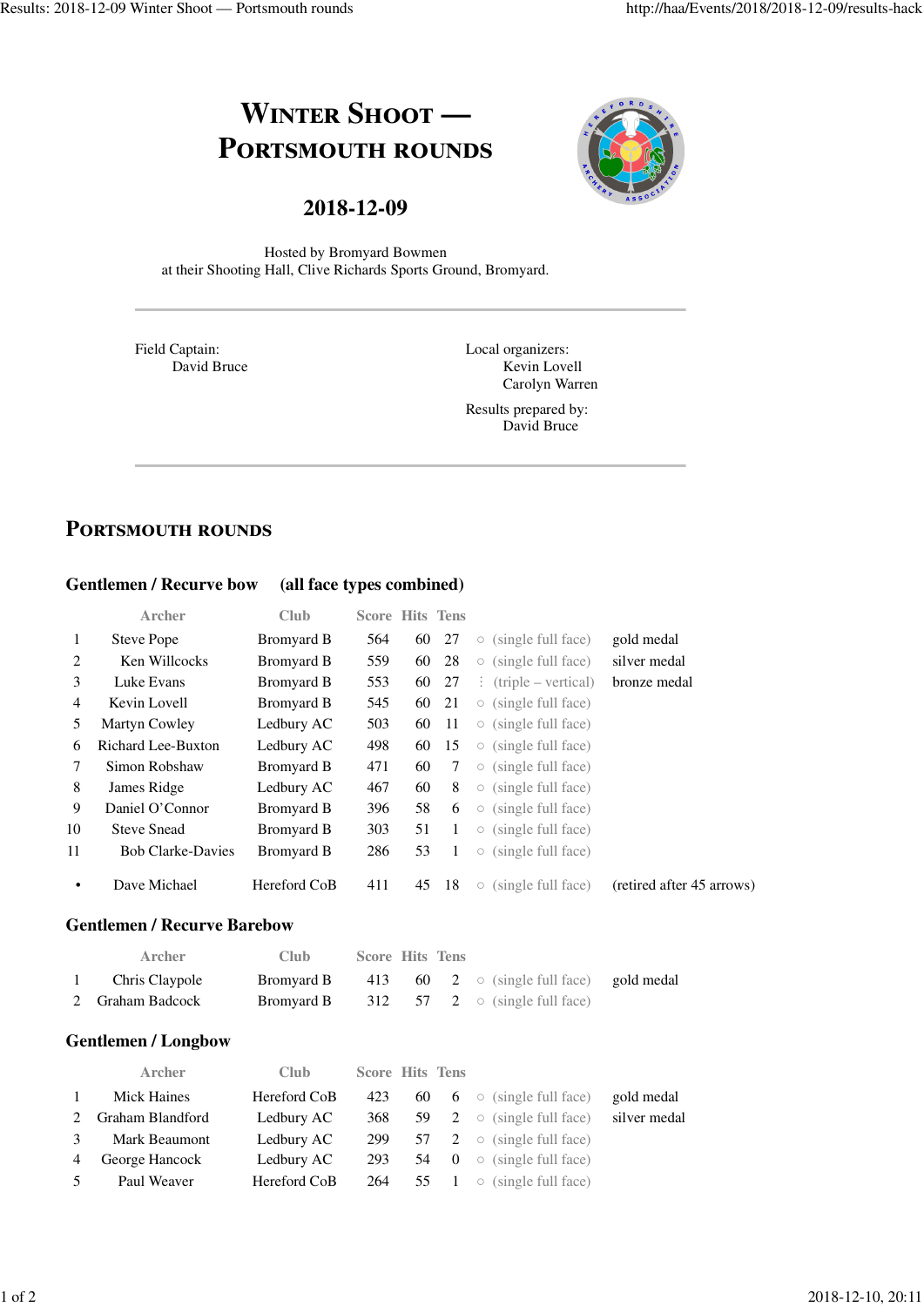# **WINTER SHOOT — PORTSMOUTH ROUNDS**



# **2018-12-09**

Hosted by Bromyard Bowmen at their Shooting Hall, Clive Richards Sports Ground, Bromyard.

Field Captain: David Bruce Local organizers: Kevin Lovell Carolyn Warren

Results prepared by: David Bruce

# **PORTSMOUTH ROUNDS**

#### **Gentlemen / Recurve bow (all face types combined)**

|                | <b>Archer</b>                      | Club              | <b>Score Hits Tens</b> |    |                |                     |                            |                           |
|----------------|------------------------------------|-------------------|------------------------|----|----------------|---------------------|----------------------------|---------------------------|
| 1              | <b>Steve Pope</b>                  | <b>Bromyard B</b> | 564                    | 60 | 27             | $\bigcirc$          | (single full face)         | gold medal                |
| $\overline{2}$ | Ken Willcocks                      | <b>Bromyard B</b> | 559                    | 60 | 28             | $\bigcirc$          | (single full face)         | silver medal              |
| 3              | Luke Evans                         | <b>Bromyard B</b> | 553                    | 60 | 27             | ÷                   | $(triple - vertical)$      | bronze medal              |
| 4              | Kevin Lovell                       | <b>Bromyard B</b> | 545                    | 60 | 21             | $\circlearrowright$ | (single full face)         |                           |
| 5              | Martyn Cowley                      | Ledbury AC        | 503                    | 60 | 11             | $\bigcirc$          | (single full face)         |                           |
| 6              | Richard Lee-Buxton                 | Ledbury AC        | 498                    | 60 | 15             | $\bigcirc$          | (single full face)         |                           |
| 7              | Simon Robshaw                      | <b>Bromyard B</b> | 471                    | 60 | 7              | $\bigcirc$          | (single full face)         |                           |
| 8              | James Ridge                        | Ledbury AC        | 467                    | 60 | 8              | $\bigcirc$          | (single full face)         |                           |
| 9              | Daniel O'Connor                    | <b>Bromyard B</b> | 396                    | 58 | 6              | $\circ$             | (single full face)         |                           |
| 10             | <b>Steve Snead</b>                 | <b>Bromyard B</b> | 303                    | 51 | 1              | $\bigcirc$          | (single full face)         |                           |
| 11             | <b>Bob Clarke-Davies</b>           | <b>Bromyard B</b> | 286                    | 53 | $\mathbf{1}$   | $\bigcirc$          | (single full face)         |                           |
| ٠              | Dave Michael                       | Hereford CoB      | 411                    | 45 | 18             |                     | $\circ$ (single full face) | (retired after 45 arrows) |
|                | <b>Gentlemen / Recurve Barebow</b> |                   |                        |    |                |                     |                            |                           |
|                | <b>Archer</b>                      | Club              | <b>Score Hits Tens</b> |    |                |                     |                            |                           |
| 1              | Chris Claypole                     | <b>Bromyard B</b> | 413                    | 60 | $\overline{2}$ | $\circ$             | (single full face)         | gold medal                |
| 2              | Graham Badcock                     | <b>Bromyard B</b> | 312                    | 57 | 2              | $\bigcirc$          | (single full face)         |                           |
|                | <b>Gentlemen / Longbow</b>         |                   |                        |    |                |                     |                            |                           |
|                | Archer                             | Club              | <b>Score Hits Tens</b> |    |                |                     |                            |                           |
| 1              | <b>Mick Haines</b>                 | Hereford CoB      | 423                    | 60 | 6              | $\bigcirc$          | (single full face)         | gold medal                |
| 2              | Graham Blandford                   | Ledbury AC        | 368                    | 59 | 2              | $\bigcirc$          | (single full face)         | silver medal              |
| 3              | Mark Beaumont                      | Ledbury AC        | 299                    | 57 | 2              | $\circ$             | (single full face)         |                           |
| 4              | George Hancock                     | Ledbury AC        | 293                    | 54 | $\mathbf{0}$   | $\circlearrowright$ | (single full face)         |                           |
| 5              | Paul Weaver                        | Hereford CoB      | 264                    | 55 | 1              | $\bigcirc$          | (single full face)         |                           |
|                |                                    |                   |                        |    |                |                     |                            |                           |